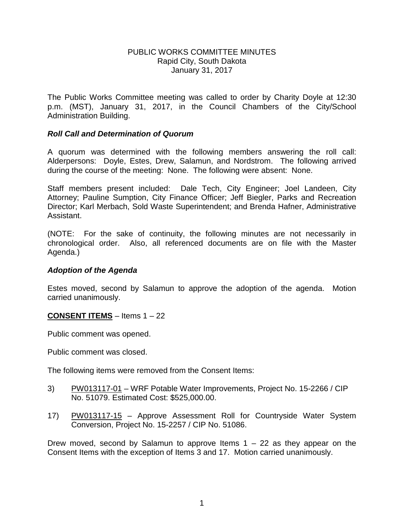#### PUBLIC WORKS COMMITTEE MINUTES Rapid City, South Dakota January 31, 2017

The Public Works Committee meeting was called to order by Charity Doyle at 12:30 p.m. (MST), January 31, 2017, in the Council Chambers of the City/School Administration Building.

#### *Roll Call and Determination of Quorum*

A quorum was determined with the following members answering the roll call: Alderpersons: Doyle, Estes, Drew, Salamun, and Nordstrom. The following arrived during the course of the meeting: None. The following were absent: None.

Staff members present included: Dale Tech, City Engineer; Joel Landeen, City Attorney; Pauline Sumption, City Finance Officer; Jeff Biegler, Parks and Recreation Director; Karl Merbach, Sold Waste Superintendent; and Brenda Hafner, Administrative Assistant.

(NOTE: For the sake of continuity, the following minutes are not necessarily in chronological order. Also, all referenced documents are on file with the Master Agenda.)

# *Adoption of the Agenda*

Estes moved, second by Salamun to approve the adoption of the agenda. Motion carried unanimously.

# **CONSENT ITEMS** – Items 1 – 22

Public comment was opened.

Public comment was closed.

The following items were removed from the Consent Items:

- 3) PW013117-01 WRF Potable Water Improvements, Project No. 15-2266 / CIP No. 51079. Estimated Cost: \$525,000.00.
- 17) PW013117-15 Approve Assessment Roll for Countryside Water System Conversion, Project No. 15-2257 / CIP No. 51086.

Drew moved, second by Salamun to approve Items  $1 - 22$  as they appear on the Consent Items with the exception of Items 3 and 17. Motion carried unanimously.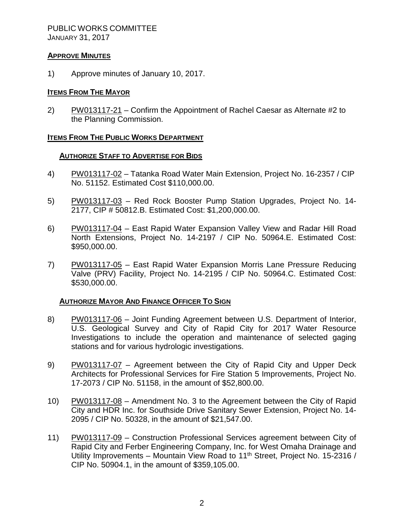## PUBLIC WORKS COMMITTEE JANUARY 31, 2017

# **APPROVE MINUTES**

1) Approve minutes of January 10, 2017.

# **ITEMS FROM THE MAYOR**

2) PW013117-21 – Confirm the Appointment of Rachel Caesar as Alternate #2 to the Planning Commission.

# **ITEMS FROM THE PUBLIC WORKS DEPARTMENT**

# **AUTHORIZE STAFF TO ADVERTISE FOR BIDS**

- 4) PW013117-02 Tatanka Road Water Main Extension, Project No. 16-2357 / CIP No. 51152. Estimated Cost \$110,000.00.
- 5) PW013117-03 Red Rock Booster Pump Station Upgrades, Project No. 14- 2177, CIP # 50812.B. Estimated Cost: \$1,200,000.00.
- 6) PW013117-04 East Rapid Water Expansion Valley View and Radar Hill Road North Extensions, Project No. 14-2197 / CIP No. 50964.E. Estimated Cost: \$950,000.00.
- 7) PW013117-05 East Rapid Water Expansion Morris Lane Pressure Reducing Valve (PRV) Facility, Project No. 14-2195 / CIP No. 50964.C. Estimated Cost: \$530,000.00.

# **AUTHORIZE MAYOR AND FINANCE OFFICER TO SIGN**

- 8) PW013117-06 Joint Funding Agreement between U.S. Department of Interior, U.S. Geological Survey and City of Rapid City for 2017 Water Resource Investigations to include the operation and maintenance of selected gaging stations and for various hydrologic investigations.
- 9) PW013117-07 Agreement between the City of Rapid City and Upper Deck Architects for Professional Services for Fire Station 5 Improvements, Project No. 17-2073 / CIP No. 51158, in the amount of \$52,800.00.
- 10) PW013117-08 Amendment No. 3 to the Agreement between the City of Rapid City and HDR Inc. for Southside Drive Sanitary Sewer Extension, Project No. 14- 2095 / CIP No. 50328, in the amount of \$21,547.00.
- 11) PW013117-09 Construction Professional Services agreement between City of Rapid City and Ferber Engineering Company, Inc. for West Omaha Drainage and Utility Improvements – Mountain View Road to 11<sup>th</sup> Street, Project No. 15-2316 / CIP No. 50904.1, in the amount of \$359,105.00.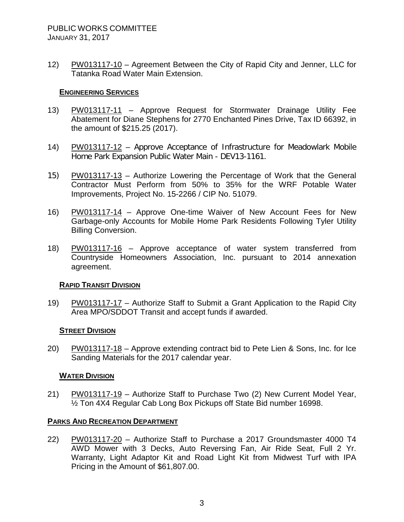12) PW013117-10 – Agreement Between the City of Rapid City and Jenner, LLC for Tatanka Road Water Main Extension.

# **ENGINEERING SERVICES**

- 13) PW013117-11 Approve Request for Stormwater Drainage Utility Fee Abatement for Diane Stephens for 2770 Enchanted Pines Drive, Tax ID 66392, in the amount of \$215.25 (2017).
- 14) PW013117-12 Approve Acceptance of Infrastructure for Meadowlark Mobile Home Park Expansion Public Water Main - DEV13-1161.
- 15) PW013117-13 Authorize Lowering the Percentage of Work that the General Contractor Must Perform from 50% to 35% for the WRF Potable Water Improvements, Project No. 15-2266 / CIP No. 51079.
- 16) PW013117-14 Approve One-time Waiver of New Account Fees for New Garbage-only Accounts for Mobile Home Park Residents Following Tyler Utility Billing Conversion.
- 18) PW013117-16 Approve acceptance of water system transferred from Countryside Homeowners Association, Inc. pursuant to 2014 annexation agreement.

#### **RAPID TRANSIT DIVISION**

19) PW013117-17 – Authorize Staff to Submit a Grant Application to the Rapid City Area MPO/SDDOT Transit and accept funds if awarded.

#### **STREET DIVISION**

20) PW013117-18 – Approve extending contract bid to Pete Lien & Sons, Inc. for Ice Sanding Materials for the 2017 calendar year.

# **WATER DIVISION**

21) PW013117-19 – Authorize Staff to Purchase Two (2) New Current Model Year, ½ Ton 4X4 Regular Cab Long Box Pickups off State Bid number 16998.

# **PARKS AND RECREATION DEPARTMENT**

22) PW013117-20 – Authorize Staff to Purchase a 2017 Groundsmaster 4000 T4 AWD Mower with 3 Decks, Auto Reversing Fan, Air Ride Seat, Full 2 Yr. Warranty, Light Adaptor Kit and Road Light Kit from Midwest Turf with IPA Pricing in the Amount of \$61,807.00.